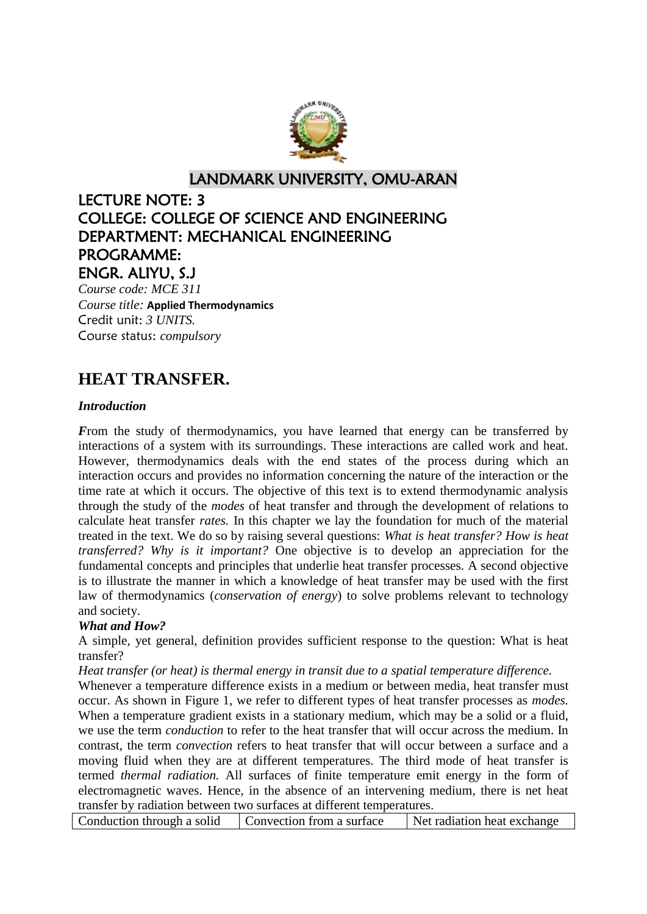

### LANDMARK UNIVERSITY, OMU-ARAN

## LECTURE NOTE: 3 COLLEGE: COLLEGE OF SCIENCE AND ENGINEERING DEPARTMENT: MECHANICAL ENGINEERING PROGRAMME: ENGR. ALIYU, S.J

*Course code: MCE 311 Course title:* **Applied Thermodynamics** Credit unit: *3 UNITS.* Course status: *compulsory*

# **HEAT TRANSFER.**

### *Introduction*

*From the study of thermodynamics, you have learned that energy can be transferred by* interactions of a system with its surroundings. These interactions are called work and heat. However, thermodynamics deals with the end states of the process during which an interaction occurs and provides no information concerning the nature of the interaction or the time rate at which it occurs. The objective of this text is to extend thermodynamic analysis through the study of the *modes* of heat transfer and through the development of relations to calculate heat transfer *rates.* In this chapter we lay the foundation for much of the material treated in the text. We do so by raising several questions: *What is heat transfer? How is heat transferred? Why is it important?* One objective is to develop an appreciation for the fundamental concepts and principles that underlie heat transfer processes. A second objective is to illustrate the manner in which a knowledge of heat transfer may be used with the first law of thermodynamics (*conservation of energy*) to solve problems relevant to technology and society.

### *What and How?*

A simple, yet general, definition provides sufficient response to the question: What is heat transfer?

*Heat transfer (or heat) is thermal energy in transit due to a spatial temperature difference.*

Whenever a temperature difference exists in a medium or between media, heat transfer must occur. As shown in Figure 1, we refer to different types of heat transfer processes as *modes.*  When a temperature gradient exists in a stationary medium, which may be a solid or a fluid, we use the term *conduction* to refer to the heat transfer that will occur across the medium. In contrast, the term *convection* refers to heat transfer that will occur between a surface and a moving fluid when they are at different temperatures. The third mode of heat transfer is termed *thermal radiation.* All surfaces of finite temperature emit energy in the form of electromagnetic waves. Hence, in the absence of an intervening medium, there is net heat transfer by radiation between two surfaces at different temperatures.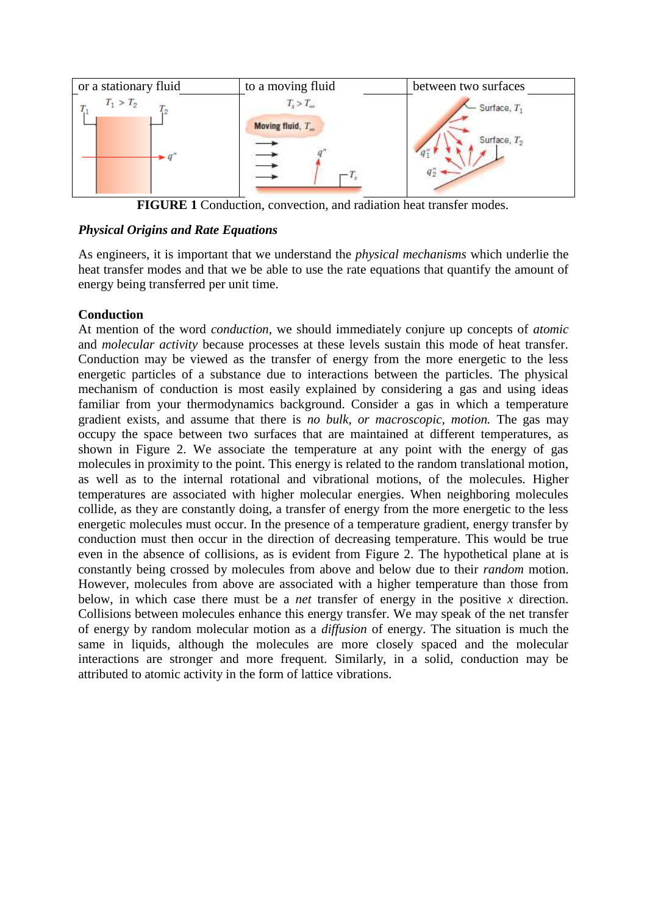

**FIGURE 1** Conduction, convection, and radiation heat transfer modes.

### *Physical Origins and Rate Equations*

As engineers, it is important that we understand the *physical mechanisms* which underlie the heat transfer modes and that we be able to use the rate equations that quantify the amount of energy being transferred per unit time.

### **Conduction**

At mention of the word *conduction*, we should immediately conjure up concepts of *atomic*  and *molecular activity* because processes at these levels sustain this mode of heat transfer. Conduction may be viewed as the transfer of energy from the more energetic to the less energetic particles of a substance due to interactions between the particles. The physical mechanism of conduction is most easily explained by considering a gas and using ideas familiar from your thermodynamics background. Consider a gas in which a temperature gradient exists, and assume that there is *no bulk*, *or macroscopic, motion.* The gas may occupy the space between two surfaces that are maintained at different temperatures, as shown in Figure 2. We associate the temperature at any point with the energy of gas molecules in proximity to the point. This energy is related to the random translational motion, as well as to the internal rotational and vibrational motions, of the molecules. Higher temperatures are associated with higher molecular energies. When neighboring molecules collide, as they are constantly doing, a transfer of energy from the more energetic to the less energetic molecules must occur. In the presence of a temperature gradient, energy transfer by conduction must then occur in the direction of decreasing temperature. This would be true even in the absence of collisions, as is evident from Figure 2. The hypothetical plane at is constantly being crossed by molecules from above and below due to their *random* motion. However, molecules from above are associated with a higher temperature than those from below, in which case there must be a *net* transfer of energy in the positive *x* direction. Collisions between molecules enhance this energy transfer. We may speak of the net transfer of energy by random molecular motion as a *diffusion* of energy. The situation is much the same in liquids, although the molecules are more closely spaced and the molecular interactions are stronger and more frequent. Similarly, in a solid, conduction may be attributed to atomic activity in the form of lattice vibrations.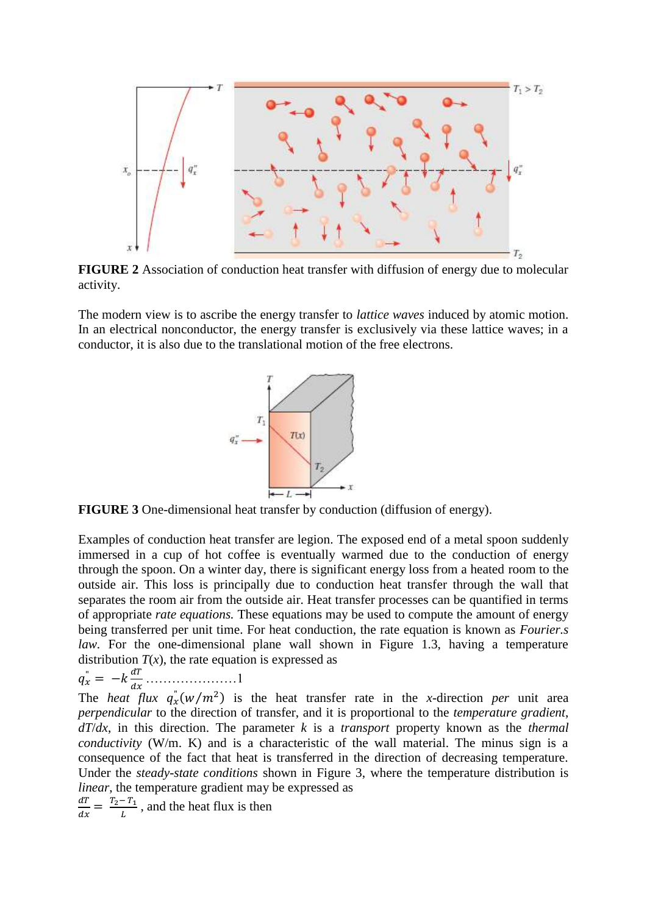

**FIGURE 2** Association of conduction heat transfer with diffusion of energy due to molecular activity.

The modern view is to ascribe the energy transfer to *lattice waves* induced by atomic motion. In an electrical nonconductor, the energy transfer is exclusively via these lattice waves; in a conductor, it is also due to the translational motion of the free electrons.



**FIGURE 3** One-dimensional heat transfer by conduction (diffusion of energy).

Examples of conduction heat transfer are legion. The exposed end of a metal spoon suddenly immersed in a cup of hot coffee is eventually warmed due to the conduction of energy through the spoon. On a winter day, there is significant energy loss from a heated room to the outside air. This loss is principally due to conduction heat transfer through the wall that separates the room air from the outside air. Heat transfer processes can be quantified in terms of appropriate *rate equations.* These equations may be used to compute the amount of energy being transferred per unit time. For heat conduction, the rate equation is known as *Fourier.s law.* For the one-dimensional plane wall shown in Figure 1.3, having a temperature distribution  $T(x)$ , the rate equation is expressed as

$$
q_x^{\prime\prime} = -k\frac{dT}{dx} \dots \dots \dots \dots \dots \dots \dots \dots \dots \dots
$$

The *heat flux*  $q_x^{\mu}(w/m^2)$  is the heat transfer rate in the *x*-direction *per* unit area *perpendicular* to the direction of transfer, and it is proportional to the *temperature gradient*, *dT*/*dx*, in this direction. The parameter *k* is a *transport* property known as the *thermal conductivity* (W/m. K) and is a characteristic of the wall material. The minus sign is a consequence of the fact that heat is transferred in the direction of decreasing temperature. Under the *steady-state conditions* shown in Figure 3, where the temperature distribution is *linear*, the temperature gradient may be expressed as

 $\boldsymbol{d}$  $\frac{dT}{dx} = \frac{T}{2}$  $\frac{1}{L}$ , and the heat flux is then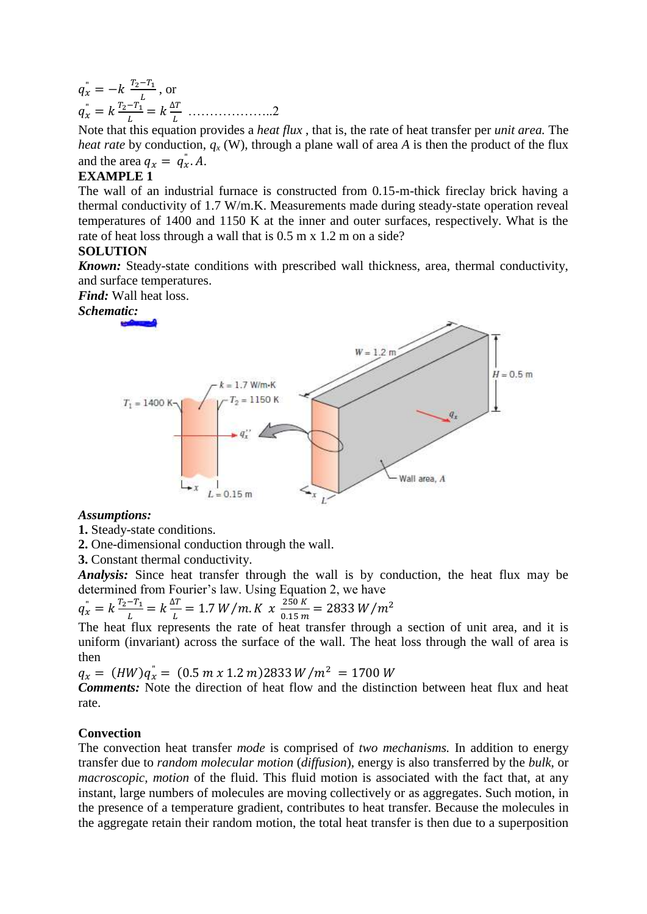#### $q_{x}^{T} = -k \frac{T}{2}$  $\frac{-t_1}{L}$ , or  $q_x^{\text{''}} = k \frac{T_1}{T_1}$  $\frac{-T_1}{L} = k \frac{\Delta}{l}$ ………………..2

Note that this equation provides a *heat flux* , that is, the rate of heat transfer per *unit area.* The *heat rate* by conduction,  $q_x$  (W), through a plane wall of area *A* is then the product of the flux and the area  $q_x = q_x^T A$ .

### **EXAMPLE 1**

The wall of an industrial furnace is constructed from 0.15-m-thick fireclay brick having a thermal conductivity of 1.7 W/m.K. Measurements made during steady-state operation reveal temperatures of 1400 and 1150 K at the inner and outer surfaces, respectively. What is the rate of heat loss through a wall that is 0.5 m x 1.2 m on a side?

### **SOLUTION**

*Known:* Steady-state conditions with prescribed wall thickness, area, thermal conductivity, and surface temperatures.

*Find:* Wall heat loss.



#### *Assumptions:*

- **1.** Steady-state conditions.
- **2.** One-dimensional conduction through the wall.
- **3.** Constant thermal conductivity.

*Analysis:* Since heat transfer through the wall is by conduction, the heat flux may be determined from Fourier's law. Using Equation 2, we have

$$
q_x^{\prime\prime} = k \frac{T_2 - T_1}{L} = k \frac{\Delta T}{L} = 1.7 W/m. K \times \frac{250 K}{0.15 m} = 2833 W/m^2
$$

The heat flux represents the rate of heat transfer through a section of unit area, and it is uniform (invariant) across the surface of the wall. The heat loss through the wall of area is then

 $q_x = (HW)q_x = (0.5 \, m \, x \, 1.2 \, m)2833 \, W/m^2 =$ 

*Comments:* Note the direction of heat flow and the distinction between heat flux and heat rate.

#### **Convection**

The convection heat transfer *mode* is comprised of *two mechanisms.* In addition to energy transfer due to *random molecular motion* (*diffusion*), energy is also transferred by the *bulk*, or *macroscopic, motion* of the fluid. This fluid motion is associated with the fact that, at any instant, large numbers of molecules are moving collectively or as aggregates. Such motion, in the presence of a temperature gradient, contributes to heat transfer. Because the molecules in the aggregate retain their random motion, the total heat transfer is then due to a superposition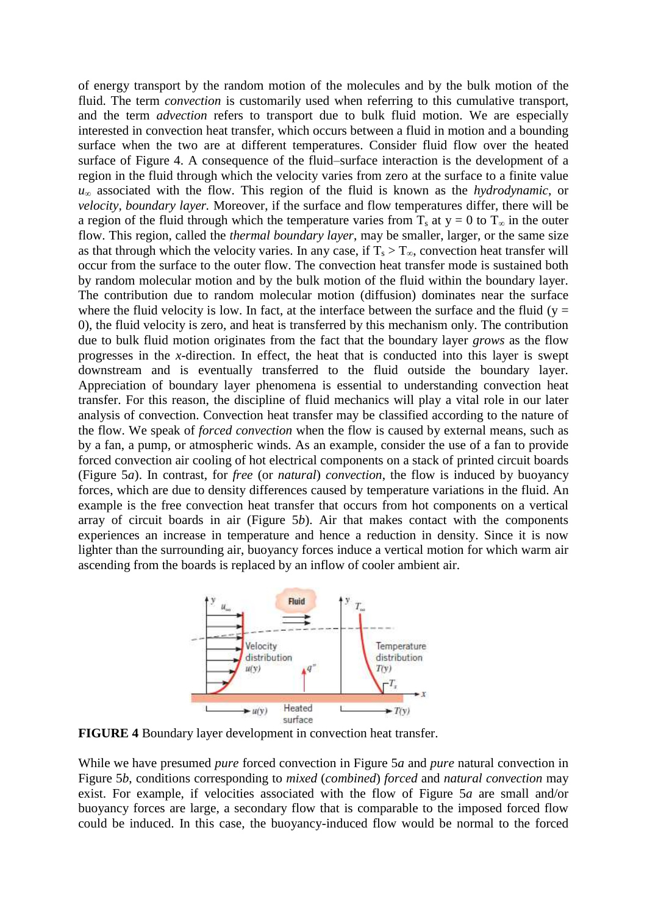of energy transport by the random motion of the molecules and by the bulk motion of the fluid. The term *convection* is customarily used when referring to this cumulative transport, and the term *advection* refers to transport due to bulk fluid motion. We are especially interested in convection heat transfer, which occurs between a fluid in motion and a bounding surface when the two are at different temperatures. Consider fluid flow over the heated surface of Figure 4. A consequence of the fluid–surface interaction is the development of a region in the fluid through which the velocity varies from zero at the surface to a finite value *u*<sup>∞</sup> associated with the flow. This region of the fluid is known as the *hydrodynamic*, or *velocity, boundary layer.* Moreover, if the surface and flow temperatures differ, there will be a region of the fluid through which the temperature varies from  $T_s$  at y = 0 to  $T_\infty$  in the outer flow. This region, called the *thermal boundary layer*, may be smaller, larger, or the same size as that through which the velocity varies. In any case, if  $T_s > T_{\infty}$ , convection heat transfer will occur from the surface to the outer flow. The convection heat transfer mode is sustained both by random molecular motion and by the bulk motion of the fluid within the boundary layer. The contribution due to random molecular motion (diffusion) dominates near the surface where the fluid velocity is low. In fact, at the interface between the surface and the fluid ( $y =$ 0), the fluid velocity is zero, and heat is transferred by this mechanism only. The contribution due to bulk fluid motion originates from the fact that the boundary layer *grows* as the flow progresses in the *x*-direction. In effect, the heat that is conducted into this layer is swept downstream and is eventually transferred to the fluid outside the boundary layer. Appreciation of boundary layer phenomena is essential to understanding convection heat transfer. For this reason, the discipline of fluid mechanics will play a vital role in our later analysis of convection. Convection heat transfer may be classified according to the nature of the flow. We speak of *forced convection* when the flow is caused by external means, such as by a fan, a pump, or atmospheric winds. As an example, consider the use of a fan to provide forced convection air cooling of hot electrical components on a stack of printed circuit boards (Figure 5*a*). In contrast, for *free* (or *natural*) *convection*, the flow is induced by buoyancy forces, which are due to density differences caused by temperature variations in the fluid. An example is the free convection heat transfer that occurs from hot components on a vertical array of circuit boards in air (Figure 5*b*). Air that makes contact with the components experiences an increase in temperature and hence a reduction in density. Since it is now lighter than the surrounding air, buoyancy forces induce a vertical motion for which warm air ascending from the boards is replaced by an inflow of cooler ambient air.



**FIGURE 4** Boundary layer development in convection heat transfer.

While we have presumed *pure* forced convection in Figure 5*a* and *pure* natural convection in Figure 5*b*, conditions corresponding to *mixed* (*combined*) *forced* and *natural convection* may exist. For example, if velocities associated with the flow of Figure 5*a* are small and/or buoyancy forces are large, a secondary flow that is comparable to the imposed forced flow could be induced. In this case, the buoyancy-induced flow would be normal to the forced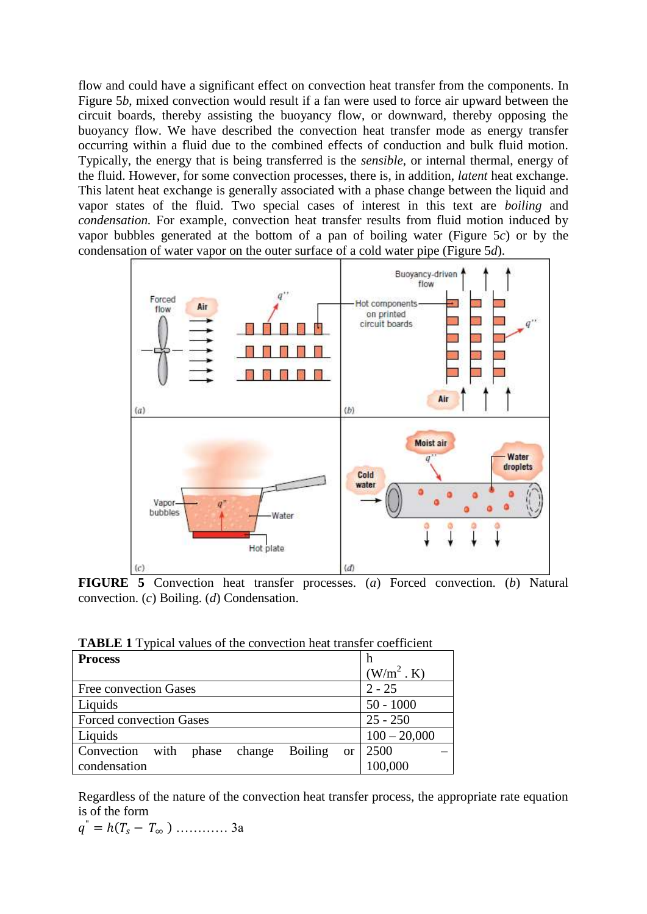flow and could have a significant effect on convection heat transfer from the components. In Figure 5*b*, mixed convection would result if a fan were used to force air upward between the circuit boards, thereby assisting the buoyancy flow, or downward, thereby opposing the buoyancy flow. We have described the convection heat transfer mode as energy transfer occurring within a fluid due to the combined effects of conduction and bulk fluid motion. Typically, the energy that is being transferred is the *sensible*, or internal thermal, energy of the fluid. However, for some convection processes, there is, in addition, *latent* heat exchange. This latent heat exchange is generally associated with a phase change between the liquid and vapor states of the fluid. Two special cases of interest in this text are *boiling* and *condensation.* For example, convection heat transfer results from fluid motion induced by vapor bubbles generated at the bottom of a pan of boiling water (Figure 5*c*) or by the condensation of water vapor on the outer surface of a cold water pipe (Figure 5*d*).



**FIGURE 5** Convection heat transfer processes. (*a*) Forced convection. (*b*) Natural convection. (*c*) Boiling. (*d*) Condensation.

**TABLE 1** Typical values of the convection heat transfer coefficient

| <b>Process</b>                                                           |                |
|--------------------------------------------------------------------------|----------------|
|                                                                          | $(W/m2$ . K)   |
| <b>Free convection Gases</b>                                             | $2 - 25$       |
| Liquids                                                                  | $50 - 1000$    |
| <b>Forced convection Gases</b>                                           | $25 - 250$     |
| Liquids                                                                  | $100 - 20,000$ |
| Convection<br><b>Boiling</b><br>with<br>phase<br>change<br><sub>or</sub> | 2500           |
| condensation                                                             | 100,000        |

Regardless of the nature of the convection heat transfer process, the appropriate rate equation is of the form

$$
q^{\prime\prime} = h(T_s - T_\infty) \dots \dots \dots \dots 3a
$$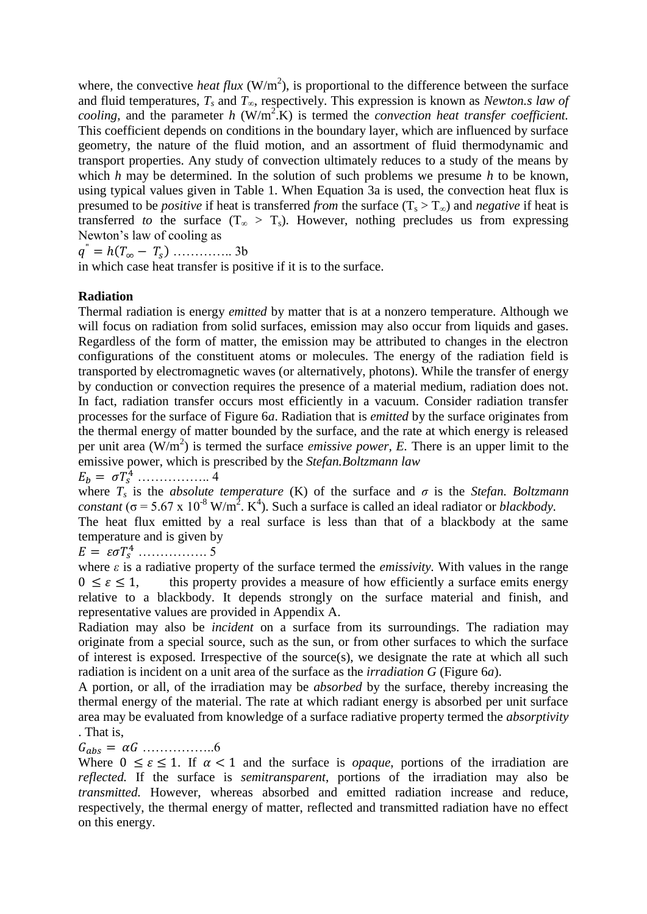where, the convective *heat flux* ( $W/m<sup>2</sup>$ ), is proportional to the difference between the surface and fluid temperatures,  $T_s$  and  $T_\infty$ , respectively. This expression is known as *Newton.s law of cooling*, and the parameter  $h$  (W/m<sup>2</sup>.K) is termed the *convection heat transfer coefficient*. This coefficient depends on conditions in the boundary layer, which are influenced by surface geometry, the nature of the fluid motion, and an assortment of fluid thermodynamic and transport properties. Any study of convection ultimately reduces to a study of the means by which *h* may be determined. In the solution of such problems we presume *h* to be known, using typical values given in Table 1. When Equation 3a is used, the convection heat flux is presumed to be *positive* if heat is transferred *from* the surface ( $T_s > T_\infty$ ) and *negative* if heat is transferred *to* the surface ( $T_{\infty} > T_s$ ). However, nothing precludes us from expressing Newton's law of cooling as

 $q^{\text{''}} = h(T_{\infty} - T_s) \dots \dots \dots \dots 3b$ 

in which case heat transfer is positive if it is to the surface.

### **Radiation**

Thermal radiation is energy *emitted* by matter that is at a nonzero temperature. Although we will focus on radiation from solid surfaces, emission may also occur from liquids and gases. Regardless of the form of matter, the emission may be attributed to changes in the electron configurations of the constituent atoms or molecules. The energy of the radiation field is transported by electromagnetic waves (or alternatively, photons). While the transfer of energy by conduction or convection requires the presence of a material medium, radiation does not. In fact, radiation transfer occurs most efficiently in a vacuum. Consider radiation transfer processes for the surface of Figure 6*a*. Radiation that is *emitted* by the surface originates from the thermal energy of matter bounded by the surface, and the rate at which energy is released per unit area (W/m<sup>2</sup>) is termed the surface *emissive power*, E. There is an upper limit to the emissive power, which is prescribed by the *Stefan.Boltzmann law*

…………….. 4

where  $T_s$  is the *absolute temperature* (K) of the surface and  $\sigma$  is the *Stefan. Boltzmann constant* ( $\sigma$  = 5.67 x 10<sup>-8</sup> W/m<sup>2</sup>. K<sup>4</sup>). Such a surface is called an ideal radiator or *blackbody*.

The heat flux emitted by a real surface is less than that of a blackbody at the same temperature and is given by

$$
E = \varepsilon \sigma T_s^4 \dots \dots \dots \dots \dots 5
$$

where  $\varepsilon$  is a radiative property of the surface termed the *emissivity*. With values in the range  $0 \leq \varepsilon \leq 1$ , this property provides a measure of how efficiently a surface emits energy relative to a blackbody. It depends strongly on the surface material and finish, and representative values are provided in Appendix A.

Radiation may also be *incident* on a surface from its surroundings. The radiation may originate from a special source, such as the sun, or from other surfaces to which the surface of interest is exposed. Irrespective of the source(s), we designate the rate at which all such radiation is incident on a unit area of the surface as the *irradiation G* (Figure 6*a*).

A portion, or all, of the irradiation may be *absorbed* by the surface, thereby increasing the thermal energy of the material. The rate at which radiant energy is absorbed per unit surface area may be evaluated from knowledge of a surface radiative property termed the *absorptivity*  . That is,

 $G_{abs} = \alpha G \dots \dots \dots \dots \dots \dots \dots 6$ 

Where  $0 \le \varepsilon \le 1$ . If  $\alpha < 1$  and the surface is *opaque*, portions of the irradiation are *reflected.* If the surface is *semitransparent*, portions of the irradiation may also be *transmitted.* However, whereas absorbed and emitted radiation increase and reduce, respectively, the thermal energy of matter, reflected and transmitted radiation have no effect on this energy.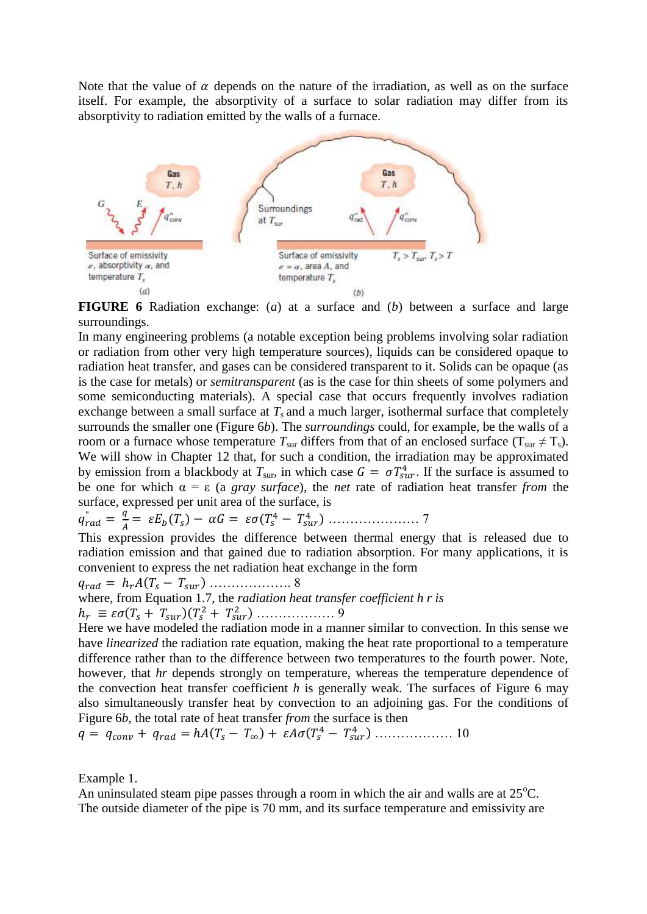Note that the value of  $\alpha$  depends on the nature of the irradiation, as well as on the surface itself. For example, the absorptivity of a surface to solar radiation may differ from its absorptivity to radiation emitted by the walls of a furnace.



**FIGURE 6** Radiation exchange: (*a*) at a surface and (*b*) between a surface and large surroundings.

In many engineering problems (a notable exception being problems involving solar radiation or radiation from other very high temperature sources), liquids can be considered opaque to radiation heat transfer, and gases can be considered transparent to it. Solids can be opaque (as is the case for metals) or *semitransparent* (as is the case for thin sheets of some polymers and some semiconducting materials). A special case that occurs frequently involves radiation exchange between a small surface at  $T_s$  and a much larger, isothermal surface that completely surrounds the smaller one (Figure 6*b*). The *surroundings* could, for example, be the walls of a room or a furnace whose temperature  $T_{\text{sur}}$  differs from that of an enclosed surface ( $T_{\text{sur}} \neq T_s$ ). We will show in Chapter 12 that, for such a condition, the irradiation may be approximated by emission from a blackbody at  $T_{\text{sur}}$ , in which case  $G = \sigma T_{\text{sur}}^4$ . If the surface is assumed to be one for which α = ε (a *gray surface*), the *net* rate of radiation heat transfer *from* the surface, expressed per unit area of the surface, is

 ( ) ( ) ………………… 7

This expression provides the difference between thermal energy that is released due to radiation emission and that gained due to radiation absorption. For many applications, it is convenient to express the net radiation heat exchange in the form

( ) ………………. 8

where, from Equation 1.7, the *radiation heat transfer coefficient h r is*  $h_r \equiv \varepsilon \sigma (T_s + T_{sur}) (T_s^2 + T_{sur}^2) \dots$ 

Here we have modeled the radiation mode in a manner similar to convection. In this sense we have *linearized* the radiation rate equation, making the heat rate proportional to a temperature difference rather than to the difference between two temperatures to the fourth power. Note, however, that *hr* depends strongly on temperature, whereas the temperature dependence of the convection heat transfer coefficient *h* is generally weak. The surfaces of Figure 6 may also simultaneously transfer heat by convection to an adjoining gas. For the conditions of Figure 6*b*, the total rate of heat transfer *from* the surface is then

( ) ( ) ……………… 10

Example 1.

An uninsulated steam pipe passes through a room in which the air and walls are at  $25^{\circ}$ C. The outside diameter of the pipe is 70 mm, and its surface temperature and emissivity are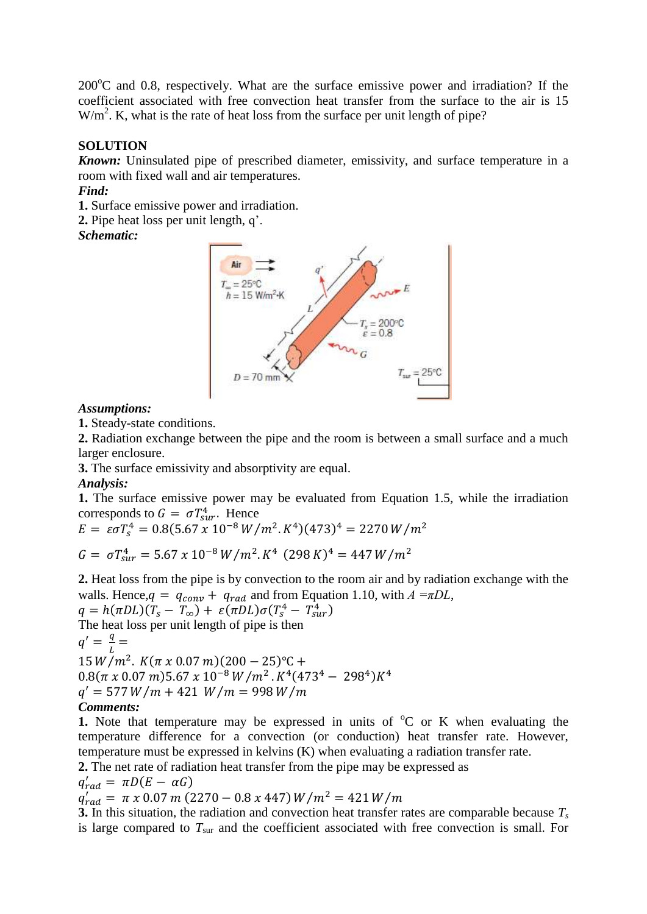$200^{\circ}$ C and 0.8, respectively. What are the surface emissive power and irradiation? If the coefficient associated with free convection heat transfer from the surface to the air is 15  $W/m<sup>2</sup>$ . K, what is the rate of heat loss from the surface per unit length of pipe?

### **SOLUTION**

*Known:* Uninsulated pipe of prescribed diameter, emissivity, and surface temperature in a room with fixed wall and air temperatures.

#### *Find:*

**1.** Surface emissive power and irradiation.

**2.** Pipe heat loss per unit length, q'.

*Schematic:*



### *Assumptions:*

**1.** Steady-state conditions.

**2.** Radiation exchange between the pipe and the room is between a small surface and a much larger enclosure.

**3.** The surface emissivity and absorptivity are equal.

### *Analysis:*

**1.** The surface emissive power may be evaluated from Equation 1.5, while the irradiation corresponds to  $G = \sigma T_{\text{sur}}^4$ . Hence

 $E = \varepsilon \sigma T_s^4 = 0.8(5.67 \times 10^{-8} W/m^2.K^4)(473)^4 = 2270 W/m^2$ 

$$
G = \sigma T_{sur}^4 = 5.67 \times 10^{-8} W/m^2.K^4 (298 K)^4 = 447 W/m^2
$$

**2.** Heat loss from the pipe is by convection to the room air and by radiation exchange with the walls. Hence,  $q = q_{conv} + q_{rad}$  and from Equation 1.10, with  $A = \pi DL$ ,  $q = h(\pi DL)(T_s - T_\infty) + \varepsilon(\pi DL)\sigma(T_s^4 - T_{sur}^4)$ The heat loss per unit length of pipe is then  $q' = \frac{q}{q}$  $\frac{q}{L} =$  $15 W/m<sup>2</sup>$ .  $K(π x 0.07 m)(200 – 25) °C +$  $0.8(\pi x 0.07 m)5.67 x 10^{-8} W/m^2$ .  $K^4(473^4 - 298^4)K^4$  $q' = 577 W/m + 421 W/m = 998 W/m$ 

### *Comments:*

**1.** Note that temperature may be expressed in units of  $^{\circ}C$  or K when evaluating the temperature difference for a convection (or conduction) heat transfer rate. However, temperature must be expressed in kelvins (K) when evaluating a radiation transfer rate.

**2.** The net rate of radiation heat transfer from the pipe may be expressed as

$$
q'_{rad} = \pi D(E - \alpha G)
$$

 $q'_{rad} = \pi x 0.07 m (2270 - 0.8 x 447) W/m^2 = 421 W/m$ 

**3.** In this situation, the radiation and convection heat transfer rates are comparable because *T<sup>s</sup>* is large compared to  $T<sub>sur</sub>$  and the coefficient associated with free convection is small. For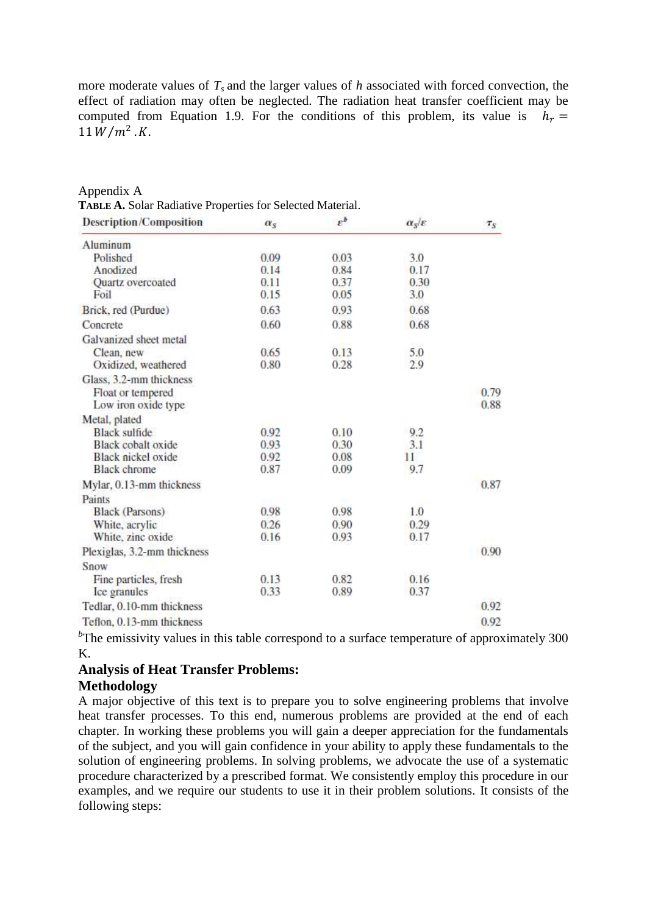more moderate values of  $T_s$  and the larger values of *h* associated with forced convection, the effect of radiation may often be neglected. The radiation heat transfer coefficient may be computed from Equation 1.9. For the conditions of this problem, its value is  $h_r =$  $11 W/m^2$ .K.

| <b>Description/Composition</b> | $\alpha_{s}$ | $\varepsilon^b$ | $\alpha_s/\varepsilon$ | $\tau_S$ |
|--------------------------------|--------------|-----------------|------------------------|----------|
| Aluminum                       |              |                 |                        |          |
| Polished                       | 0.09         | 0.03            | 3.0                    |          |
| Anodized                       | 0.14         | 0.84            | 0.17                   |          |
| Quartz overcoated              | 0.11         | 0.37            | 0.30                   |          |
| Foil                           | 0.15         | 0.05            | 3.0                    |          |
| Brick, red (Purdue)            | 0.63         | 0.93            | 0.68                   |          |
| Concrete                       | 0.60         | 0.88            | 0.68                   |          |
| Galvanized sheet metal         |              |                 |                        |          |
| Clean, new                     | 0.65         | 0.13            | 5.0                    |          |
| Oxidized, weathered            | 0.80         | 0.28            | 2.9                    |          |
| Glass, 3.2-mm thickness        |              |                 |                        |          |
| Float or tempered              |              |                 |                        | 0.79     |
| Low iron oxide type            |              |                 |                        | 0.88     |
| Metal, plated                  |              |                 |                        |          |
| <b>Black sulfide</b>           | 0.92         | 0.10            | 9.2                    |          |
| <b>Black cobalt oxide</b>      | 0.93         | 0.30            | 3.1                    |          |
| Black nickel oxide             | 0.92         | 0.08            | 11                     |          |
| <b>Black</b> chrome            | 0.87         | 0.09            | 9.7                    |          |
| Mylar, 0.13-mm thickness       |              |                 |                        | 0.87     |
| Paints                         |              |                 |                        |          |
| <b>Black (Parsons)</b>         | 0.98         | 0.98            | 1.0                    |          |
| White, acrylic                 | 0.26         | 0.90            | 0.29                   |          |
| White, zinc oxide              | 0.16         | 0.93            | 0.17                   |          |
| Plexiglas, 3.2-mm thickness    |              |                 |                        | 0.90     |
| Snow                           |              |                 |                        |          |
| Fine particles, fresh          | 0.13         | 0.82            | 0.16                   |          |
| Ice granules                   | 0.33         | 0.89            | 0.37                   |          |
| Tedlar, 0.10-mm thickness      |              |                 |                        | 0.92     |
| Teflon, 0.13-mm thickness      |              |                 |                        | 0.92     |

Appendix A **TABLE A.** Solar Radiative Properties for Selected Material.

<sup>b</sup>The emissivity values in this table correspond to a surface temperature of approximately 300 K.

### **Analysis of Heat Transfer Problems:**

### **Methodology**

A major objective of this text is to prepare you to solve engineering problems that involve heat transfer processes. To this end, numerous problems are provided at the end of each chapter. In working these problems you will gain a deeper appreciation for the fundamentals of the subject, and you will gain confidence in your ability to apply these fundamentals to the solution of engineering problems. In solving problems, we advocate the use of a systematic procedure characterized by a prescribed format. We consistently employ this procedure in our examples, and we require our students to use it in their problem solutions. It consists of the following steps: